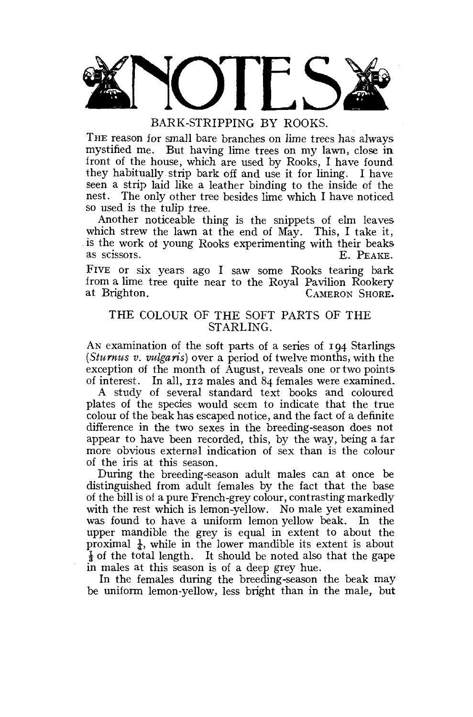

BARK-STRIPPING BY ROOKS.

THE reason for small bare branches on lime trees has always mystified me. But having lime trees on my lawn, close in. iront of the house, which are used by Rooks, I have found they habitually strip bark off and use it for lining. I have seen a strip laid like a leather binding to the inside of the nest. The only other tree besides lime which I have noticed so used is the tulip tree.

Another noticeable thing is the snippets of elm leaves which strew the lawn at the end of May. This, I take it, is the work of young Rooks experimenting with their beaks as scissors.  $E_{\text{R} \text{PFAKE}}$ E. PEAKE.

FIVE or six years ago I saw some Rooks tearing bark from a lime tree quite near to the Royal Pavilion Rookery CAMERON SHORE.

# THE COLOUR OF THE SOFT PARTS OF THE STARLING.

AN examination of the soft parts of a series of 194 Starlings *(Sturnus v. vulgaris)* over a period of twelve months, with the exception of the month of August, reveals one or two points of interest. In all, 112 males and 84 females were examined.

A study of several standard text books and coloured plates of the species would seem to indicate that the true colour of the beak has escaped notice, and the fact of a definite difference in the two sexes in the breeding-season does not appear to have been recorded, this, by the way, being a far more obvious external indication of sex than is the colour of the iris at this season.

During the breeding-season adult males can at once be distinguished from adult females by the fact that the base of the bill is of a pure French-grey colour, contrasting markedly with the rest which is lemon-yellow. No male yet examined was found to have a uniform lemon yellow beak. In the upper mandible the grey is equal in extent to about the proximal  $\frac{1}{4}$ , while in the lower mandible its extent is about  $\frac{1}{3}$  of the total length. It should be noted also that the gape in males at this season is of a deep grey hue.

In the females during the breeding-season the beak may be uniform lemon-yellow, less bright than in the male, but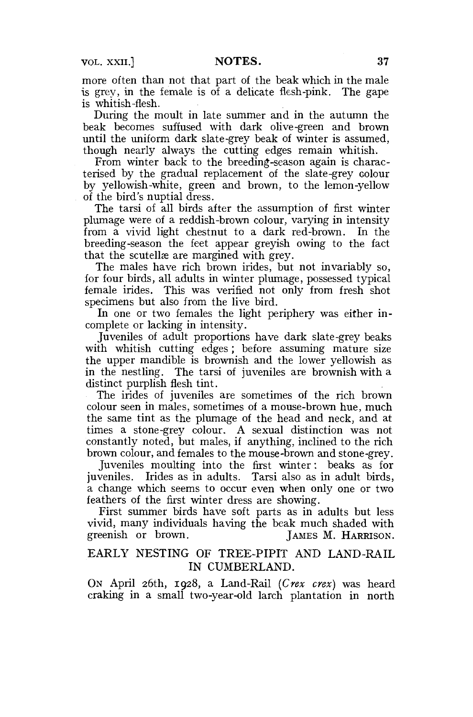more often than not that part of the beak which in the male is grey, in the female is of a delicate flesh-pink. The gape is whitish-flesh.

During the moult in late summer and in the autumn the beak becomes suffused with dark olive-green and brown until the uniform dark slate-grey beak of winter is assumed, though nearly always the cutting edges remain whitish.

From winter back to the breeding-season again is characterised by the gradual replacement of the slate-grey Golour by yellowish-white, green and brown, to the lemon-yellow of the bird's nuptial dress.

The tarsi of all birds after the assumption of first winter plumage were of a reddish-brown colour, varying in intensity from a vivid light chestnut to a dark red-brown. In the breeding-season the feet appear greyish owing to the fact that the scutellae are margined with grey.

The males have rich brown irides, but not invariably so, for four birds, all adults in winter plumage, possessed typical female irides. This was verified not only from fresh shot specimens but also from the live bird.

In one or two females the light periphery was either incomplete or lacking in intensity.

Juveniles of adult proportions have dark slate-grey beaks with whitish cutting edges; before assuming mature size the upper mandible is brownish and the lower yellowish as in the nestling. The tarsi of juveniles are brownish with a distinct purplish flesh tint.

The irides of juveniles are sometimes of the rich brown colour seen in males, sometimes of a mouse-brown hue, much the same tint as the plumage of the head and neck, and at times a stone-grey colour. A sexual distinction was not constantly noted, but males, if anything, inclined to the rich brown colour, and females to the mouse-brown and stone-grey.

Juveniles moulting into the first winter: beaks as for juveniles. Irides as in adults. Tarsi also as in adult birds, a change which seems to occur even when only one or two feathers of the first winter dress are showing.

First summer birds have soft parts as in adults but less vivid, many individuals having the beak much shaded with greenish or brown. [AMES M. HARRISON.] JAMES M. HARRISON.

# EARLY NESTING OF TREE-PIPIT AND LAND-RAIL IN CUMBERLAND.

ON April 26th, 1928, a Land-Rail *(Crex crex)* was heard craking in a small two-year-old larch plantation in north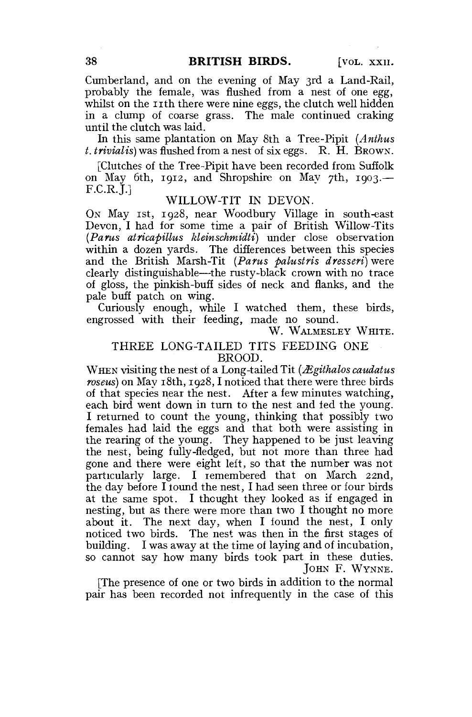Cumberland, and on the evening of May 3rd a Land-Rail, probably the female, was flushed from a nest of one egg, whilst on the 11th there were nine eggs, the clutch well hidden in a clump of coarse grass. The male continued craking until the clutch was laid.

In this same plantation on May 8th a Tree-Pipit *(Anthus t. trivialis)* was flushed from a nest of six eggs. R. H. BROWN.

[Clutches of the Tree-Pipit have been recorded from Suffolk on May 6th, 1912, and Shropshire on Mav 7th, 1903.— F.C.R.J.]

#### WILLOW-TIT IN DEVON.

ON May 1st, 1928, near Woodbury Village in south-east Devon, I had for some time a pair of British Willow-Tits *(Parus atricapillus kleinschmidti)* under close observation within a dozen yards. The differences between this species and the British Marsh-Tit *(Parus palustris dresseri)* were clearly distinguishable—the rusty-black crown with no trace of gloss, the pinkish-buff sides of neck and flanks, and the pale buff patch on wing.

Curiously enough, while I watched them, these birds, engrossed with their feeding, made no sound.

W. WALMESLEY WHITE.

#### THREE LONG-TAILED TITS FEEDING ONE BROOD.

WHEN visiting the nest of a Long-tailed Tit (*Ægithalos caudatus roseus)* on May 18th, 1928,1 noticed that there were three birds of that species near the nest. After a few minutes watching, each bird went down in turn to the nest and fed the young. I returned to count the young, thinking that possibly two females had laid the eggs and that both were assisting in the rearing of the young. They happened to be just leaving the nest, being fully-fledged, but not more than three had gone and there were eight left, so that the number was not particularly large. I remembered that on March 22nd, the day before I found the nest, I had seen three or four birds at the same spot. I thought they looked as if engaged in nesting, but as there were more than two I thought no more about it. The next day, when I found the nest, I only noticed two birds. The nest was then in the first stages of building. I was away at the time of laying and of incubation, so cannot say how many birds took part in these duties. JOHN F. WYNNE.

[The presence of one or two birds in addition to the normal pair has been recorded not infrequently in the case of this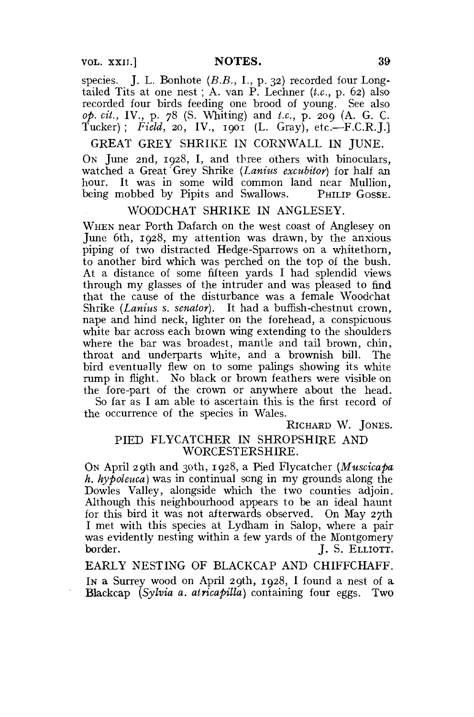VOL. XXII.] **NOTES. 39** 

species. J. L. Bonhote (B.B., I., p. 32) recorded four Longtailed Tits at one nest ; A. van P. Lechner *[t.c,* p. 62) also recorded four birds feeding one brood of young. See also *op. cit.,* IV., p. 78 (S. Whiting) and *t.c,* p. 209 (A. G. C. Tucker) ; *Field,* 20, IV., 1901 (L. Gray), etc.—F.C.R.J.]

GREAT GREY SHRIKE IN CORNWALL IN JUNE.

ON June 2nd, 1928, I, and three others with binoculars, watched a Great Grey Shrike *(Lanius excubiior)* for half an hour. It was in some wild common land near Mullion, being mobbed by Pipits and Swallows. PHILIP GOSSE.

#### WOODCHAT SHRIKE IN ANGLESEY.

WHEN near Porth Dafarch on the west coast of Anglesey on June 6th, 1928, my attention was drawn, by the anxious piping of two distracted Hedge-Sparrows on a whitethorn, to another bird which was perched on the top of the bush. At a distance of some fifteen yards I had splendid views through my glasses of the intruder and was pleased to find that the cause of the disturbance was a female Woodchat Shrike *(Lanius s. senator)*. It had a buffish-chestnut crown, nape and hind neck, lighter on the forehead, a conspicuous white bar across each brown wing extending to the shoulders where the bar was broadest, mantle and tail brown, chin, throat and underparts white, and a brownish bill. The bird eventually flew on to some palings showing its white rump in flight. No black or brown feathers were visible on the fore-part of the crown or anywhere about the head. So far as I am able to ascertain this is the first record of

the occurrence of the species in Wales.

RICHARD W. JONES.

# PIED FLYCATCHER IN SHROPSHIRE AND WORCESTERSHIRE.

ON April 29th and 30th, 1928, a Pied Flycatcher *(Muscicapa h. hypoleuca)* was in continual scng in my grounds along the Dowles Valley, alongside which the two counties adjoin. Although this neighbourhood appears to be an ideal haunt for this bird it was not afterwards observed. On May 27th I met with this species at Lydham in Salop, where a pair was evidently nesting within a few yards of the Montgomery border. J. S. ELLIOTT.

EARLY NESTING OF BLACKCAP AND CHIFFCHAFF. IN a Surrey wood on April 29th, 1928, I found a nest of a Blackcap *(Sylvia a. atricapilla)* containing four eggs. Two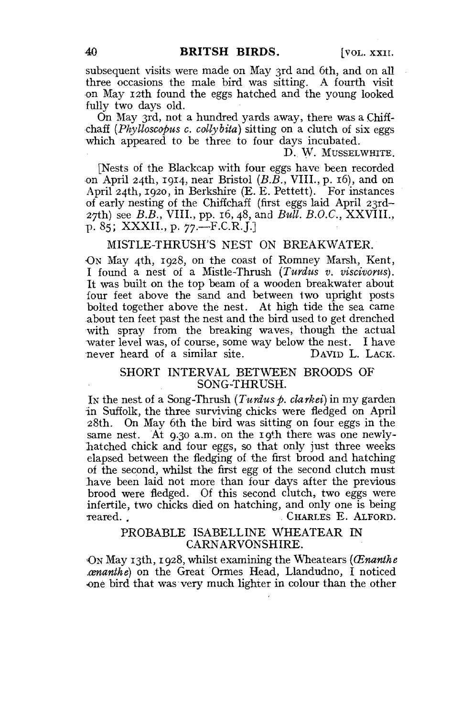subsequent visits were made on May 3rd and 6th, and on all three occasions the male bird was sitting. A fourth visit •on May 12th found the eggs hatched and the young looked fully two days old.

On May 3rd, not a hundred yards away, there was a Chiffchaff *(Phylloscopus c. collybita)* sitting on a clutch of six eggs which appeared to be three to four days incubated.

D. W. MUSSELWHITE.

[Nests of the Blackcap with four eggs have been recorded on April 24th, 1914, near Bristol *(B.B.,* VIII., p. 16), and on April 24th, 1920, in Berkshire (E. E. Pettett). For instances of early nesting of the Chiffchaff (first eggs laid April 23rd-27th) see *B.B.,* VIII., pp. 16, 48, and *Bull. B.O.C.,* XXVIIL, p. 85; XXXII., p. 77.—F.C.R.J.]

# MISTLE-THRUSH'S NEST ON BREAKWATER.

•ON May 4th, 1928, on the coast of Romney Marsh, Kent, I found a nest of a Mistle-Thrush *(Turdus v. viscivonts).*  It was built on the top beam of a wooden breakwater about four feet above the sand and between two upright posts bolted together above the nest. At high tide the sea came about ten feet past the nest and the bird used to get drenched with spray from the breaking waves, though the actual water level was, of course, some way below the nest. I have<br>never heard of a similar site. DAVID L. LACK. never heard of a similar site.

#### SHORT INTERVAL BETWEEN BROODS OF SONG-THRUSH.

IN the nest of a Song-Thrush *(Turdus p. clarkei)* in my garden in Suffolk, the three surviving chicks were fledged on April 28th. On May 6th the bird was sitting on four eggs in the same nest. At 9.30 a.m. on the 19th there was one newlylatched chick and four eggs, so that only just three weeks elapsed between the fledging of the first brood and hatching of the second, whilst the first egg of the second clutch must have been laid not more than four days after the previous brood were fledged. Of this second clutch, two eggs were infertile, two chicks died on hatching, and only one is being Teared. . CHARLES E. ALFORD.

# PROBABLE ISABELLINE WHEATEAR IN CARNARVONSHIRE.

ON May 13th, 1928, whilst examining the Wheatears (Cenanthe *xsnanthe)* on the Great Ormes Head, Llandudno, I noticed •one bird that was very much lighter in colour than the other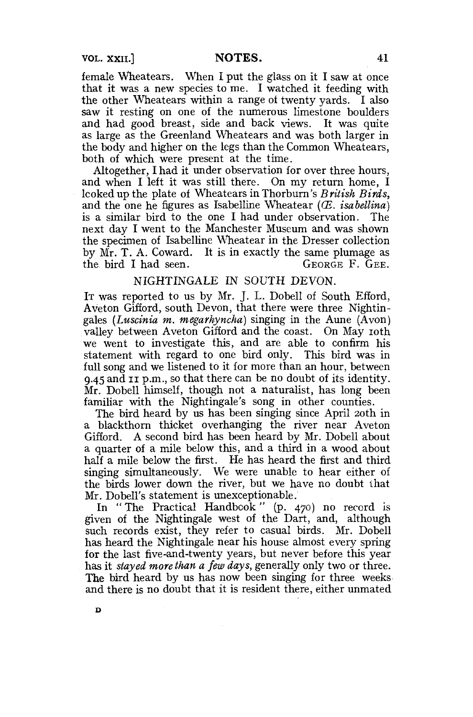female Wheatears. When I put the glass on it I saw at once that it was a new species to me. I watched it feeding with the other Wheatears within a range of twenty vards. I also saw it resting on one of the numerous limestone boulders and had good breast, side and back views. It was quite as large as the Greenland Wheatears and was both larger in the body and higher on the legs than the Common Wheatears, both of which were present at the time.

Altogether, I had it under observation for over three hours, and when I left it was still there. On my return home, I looked up the plate of Wheatears in Thorburn's *British Birds*. and the one he figures as Isabelline Wheatear (*E. isabellina*) is a similar bird to the one I had under observation. The next day I went to the Manchester Museum and was shown the specimen of Isabelline Wheatear in the Dresser collection by  $\overline{Mr}$ . T. A. Coward. It is in exactly the same plumage as the bird I had seen. GEORGE F. GEE.

### NIGHTINGALE IN SOUTH DEVON.

IT was reported to us by Mr. J. L. Dobell of South Efford, Aveton Gifford, south Devon, that there were three Nightingales *(Luscinia m, megarhyncha)* singing in the Aune (Avon) valley between Aveton Gifford and the coast. On May 10th we went to investigate this, and are able to confirm his statement with regard to one bird only. This bird was in full song and we listened to it for more than an hour, between  $9.45$  and II p.m., so that there can be no doubt of its identity. Mr. Dobell himself, though not a naturalist, has long been familiar with the Nightingale's song in other counties.

The bird heard by us has been singing since April 20th in a blackthorn thicket overhanging the river near Aveton Gifford. A second bird has been heard by Mr. Dobell about a quarter of a mile below this, and a third in a wood about half a mile below the first. He has heard the first and third singing simultaneously. We were unable to hear either of the birds lower down the river, but we have no doubt that Mr. Dobell's statement is unexceptionable.

In "The Practical Handbook" (p. 470) no record is given of the Nightingale west of the Dart, and, although such records exist, they refer to casual birds. Mr. Dobell has heard the Nightingale near his house almost every spring for the last five-and-twenty years, but never before this year has it *stayed more than a few days,* generally only two or three. The bird heard by us has now been singing for three weeks and there is no doubt that it is resident there, either unmated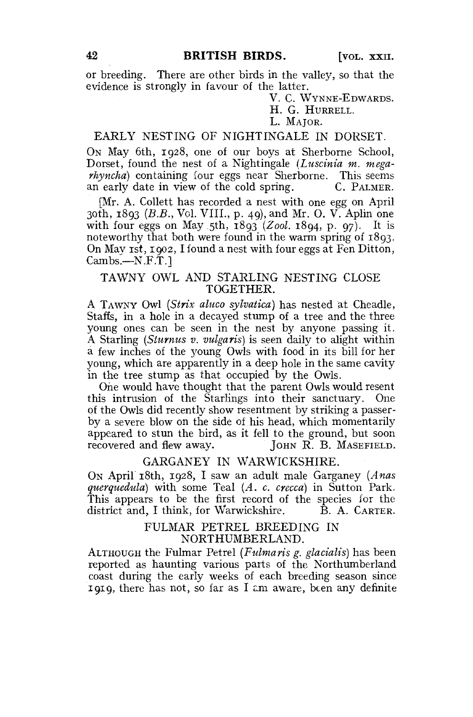or breeding. There are other birds in the valley, so that the evidence is strongly in favour of the latter.

V. C. WYNNE-EDWARDS.

# H. G. HURRELL.

# L. MAIOR.

# EARLY NESTING OF NIGHTINGALE IN DORSET.

ON May 6th, 1928, one of our boys at Sherborne School, Dorset, found the nest of a Nightingale *(Luscinia m. megarhyncha)* containing four eggs near Sherborne. This seems an early date in view of the cold spring. C. PALMER.

[Mr. A. Collett has recorded a nest with one egg on April 30th, 1893 *(B.B.,* Vol. VIII., p. 49), and Mr. 0. V. Aplin one with four eggs on May 5th,  $18q3$  (Zool. 1894, p. 97). It is noteworthy that both were found in the warm spring of 1893. On May 1st, 1902, I found a nest with four eggs at Fen Ditton,  $Cambs. -N.F.T.$ ]

# TAWNY OWL AND STARLING NESTING CLOSE TOGETHER.

A TAWNY Owl *(Strix aluco sylvatica)* has nested at Cheadle, Staffs, in a hole in a decayed stump of a tree and the three young ones can be seen in the nest by anyone passing it. A Starling *(Siurnus v. vulgaris)* is seen daily to alight within a few inches of the young Owls with food in its bill for her young, which are apparently in a deep hole in the same cavity in the tree stump as that occupied by the Owls.

One would have thought that the parent Owls would resent this intrusion of the Starlings into their sanctuary. One of the Owls did recently show resentment by striking a passerby a severe blow on the side of his head, which momentarily appeared to stun the bird, as it fell to the ground, but soon recovered and flew away. JOHN R. B. MASEFIELD.

### GARGANEY IN WARWICKSHIRE.

ON April 18th, 1928, I saw an adult male Garganey *(Anas querquedula)* with some Teal *(A. c. crecca)* in Sutton Park. This appears to be the first record of the species for the district and, I think, for Warwickshire.  $\hat{B}$ . A. CARTER.

### FULMAR PETREL BREEDING IN NORTHUMBERLAND.

ALTHOUGH the Fulmar Petrel *(Fulmaris g. glacialis)* has been reported as haunting various parts of the Northumberland coast during the early weeks of each breeding season since 1919, there has not, so far as I cm aware, been any definite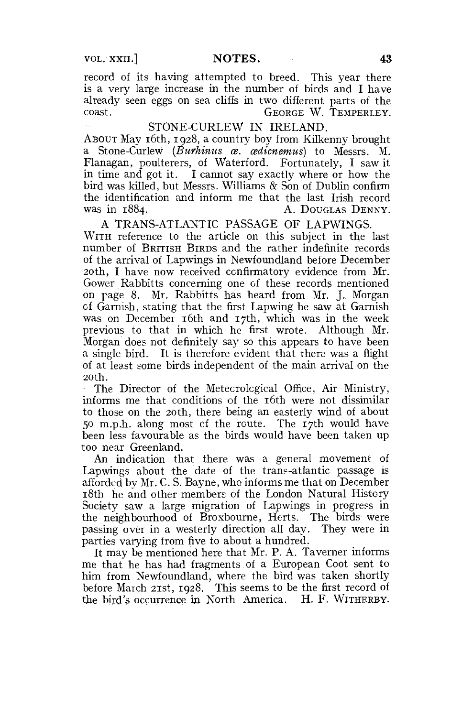record of its having attempted to breed. This year there is a very large increase in the number of birds and I have already seen eggs on sea cliffs in two different parts of the coast GEORGE W. TEMPERLEY.

### STONE-CURLEW IN IRELAND.

ABOUT May 16th, 1928, a country boy from Kilkenny brought a Stone-Curlew *(Burhinus as. cedicnemus)* to Messrs. M. Flanagan, poulterers, of Waterford. Fortunately, I saw it in time and got it. I cannot say exactly where or how the bird was killed, but Messrs. Williams & Son of Dublin confirm the identification and inform me that the last Irish record was in 1884. A. DOUGLAS DENNY.

A TRANS-ATLANTIC PASSAGE OF LAPWINGS. WITH reference to the article on this subject in the last number of BRITISH BIRDS and the rather indefinite records of the arrival of Lapwings in Newfoundland before December 20th, I have now received confirmatory evidence from Mr. Gower Rabbitts concerning one of these records mentioned on page 8. Mr. Rabbitts has heard from Mr. J. Morgan of Garnish, stating that the first Lapwing he saw at Garnish was on December 16th and 17th, which was in the week previous to that in which he first wrote. Although Mr. Morgan does not definitely say so this appears to have been a single bird. It is therefore evident that there was a flight of at least some birds independent of the main arrival on the 20 th.

The Director of the Metecrological Office, Air Ministry, informs me that conditions of the 16th were not dissimilar to those on the 20th, there being an easterly wind of about 50 m.p.h. along most cf the route. The 17th would have been less favourable as the birds would have been taken up too near Greenland.

An indication that there was a general movement of Lapwings about the date of the trans-atlantic passage is afforded by Mr. C. S. Bayne, who informs me that on December i8tb he and other members of the London Natural History Society saw a large migration of Lapwings in progress in the neighbourhood of Broxbourne, Herts. The birds were passing over in a westerly direction all day. They were in parties varying from five to about a hundred.

It may be mentioned here that Mr. P. A. Taverner informs me that he has had fragments of a European Coot sent to him from Newfoundland, where the bird was taken shortly before March 21st, 1928. This seems to be the first record of the bird's occurrence in North America. H. F. WITHERBY.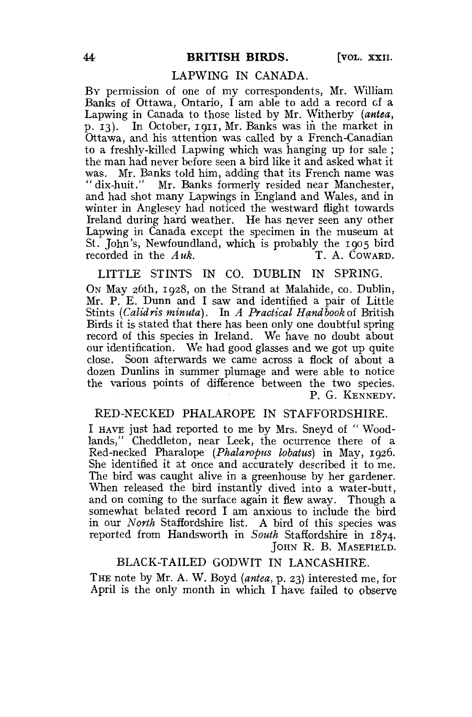#### LAPWING IN CANADA.

BY permission of one of my correspondents, Mr. William Banks of Ottawa, Ontario, I am able to add a record of a Lapwing in Canada to those listed by Mr. Witherby *(antea,*  p. 13). In October, 1911, Mr. Banks was in the market in Ottawa, and his attention was called by a French-Canadian to a freshly-killed Lapwing which was hanging up lor sale ; the man had never before seen a bird like it and asked what it was. Mr. Banks told him, adding that its French name was "dix-huit." Mr. Banks formerly resided near Manchester, and had shot many Lapwings in England and Wales, and in winter in Anglesey had noticed the westward flight towards Ireland during hard weather. He has never seen any other Lapwing in Canada except the specimen in the museum at St. John's, Newfoundland, which is probably the 1905 bird recorded in the *Auk*. T. A. COWARD.

### LITTLE STINTS IN CO. DUBLIN IN SPRING.

ON May 26th, 1928, on the Strand at Malahide, co. Dublin, Mr. P. E. Dunn and I saw and identified a pair of Little Stints *(Calidris minuta).* In *A Practical Handbook* of British Birds it is stated that there has been only one doubtful spring record of this species in Ireland. We have no doubt about our identification. We had good glasses and we got up quite close. Soon afterwards we came across a flock of about a dozen Dunlins in summer plumage and were able to notice the various points of difference between the two species. P. G. KENNEDY.

### RED-NECKED PHALAROPE IN STAFFORDSHIRE.

I HAVE just had reported to me by Mrs. Sneyd of " Woodlands," Cheddleton, near Leek, the ocurrence there of a Red-necked Pharalope *{Phalaropus lobatus)* in May, 1926. She identified it at once and accurately described it to me. The bird was caught alive in a greenhouse by her gardener. When released the bird instantly dived into a water-butt, and on coming to the surface again it flew away. Though a somewhat belated record I am anxious to include the bird in our *North* Staffordshire list. A bird of this species was reported from Handsworth in *South* Staffordshire in 1874. JOHN R. B. MASEFIELD.

#### BLACK-TAILED GODWIT IN LANCASHIRE.

T HE note by Mr. A. W. Boyd *(antea,* p. 23) interested me, for April is the only month in which I have failed to observe